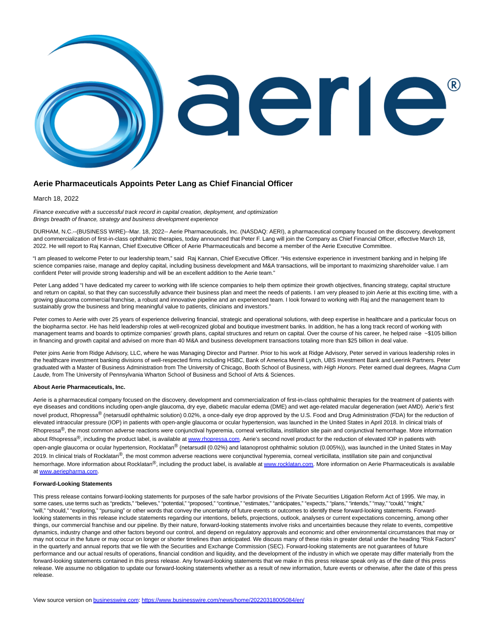

## **Aerie Pharmaceuticals Appoints Peter Lang as Chief Financial Officer**

March 18, 2022

Finance executive with a successful track record in capital creation, deployment, and optimization Brings breadth of finance, strategy and business development experience

DURHAM, N.C.--(BUSINESS WIRE)--Mar. 18, 2022-- Aerie Pharmaceuticals, Inc. (NASDAQ: AERI), a pharmaceutical company focused on the discovery, development and commercialization of first-in-class ophthalmic therapies, today announced that Peter F. Lang will join the Company as Chief Financial Officer, effective March 18, 2022. He will report to Raj Kannan, Chief Executive Officer of Aerie Pharmaceuticals and become a member of the Aerie Executive Committee.

"I am pleased to welcome Peter to our leadership team," said Raj Kannan, Chief Executive Officer. "His extensive experience in investment banking and in helping life science companies raise, manage and deploy capital, including business development and M&A transactions, will be important to maximizing shareholder value. I am confident Peter will provide strong leadership and will be an excellent addition to the Aerie team."

Peter Lang added "I have dedicated my career to working with life science companies to help them optimize their growth objectives, financing strategy, capital structure and return on capital, so that they can successfully advance their business plan and meet the needs of patients. I am very pleased to join Aerie at this exciting time, with a growing glaucoma commercial franchise, a robust and innovative pipeline and an experienced team. I look forward to working with Raj and the management team to sustainably grow the business and bring meaningful value to patients, clinicians and investors."

Peter comes to Aerie with over 25 years of experience delivering financial, strategic and operational solutions, with deep expertise in healthcare and a particular focus on the biopharma sector. He has held leadership roles at well-recognized global and boutique investment banks. In addition, he has a long track record of working with management teams and boards to optimize companies' growth plans, capital structures and return on capital. Over the course of his career, he helped raise ~\$105 billion in financing and growth capital and advised on more than 40 M&A and business development transactions totaling more than \$25 billion in deal value.

Peter joins Aerie from Ridge Advisory, LLC, where he was Managing Director and Partner. Prior to his work at Ridge Advisory, Peter served in various leadership roles in the healthcare investment banking divisions of well-respected firms including HSBC, Bank of America Merrill Lynch, UBS Investment Bank and Leerink Partners. Peter graduated with a Master of Business Administration from The University of Chicago, Booth School of Business, with High Honors. Peter earned dual degrees, Magna Cum Laude, from The University of Pennsylvania Wharton School of Business and School of Arts & Sciences.

## **About Aerie Pharmaceuticals, Inc.**

Aerie is a pharmaceutical company focused on the discovery, development and commercialization of first-in-class ophthalmic therapies for the treatment of patients with eye diseases and conditions including open-angle glaucoma, dry eye, diabetic macular edema (DME) and wet age-related macular degeneration (wet AMD). Aerie's first novel product, Rhopressa® (netarsudil ophthalmic solution) 0.02%, a once-daily eye drop approved by the U.S. Food and Drug Administration (FDA) for the reduction of elevated intraocular pressure (IOP) in patients with open-angle glaucoma or ocular hypertension, was launched in the United States in April 2018. In clinical trials of Rhopressa<sup>®</sup>, the most common adverse reactions were conjunctival hyperemia, corneal verticillata, instillation site pain and conjunctival hemorrhage. More information about Rhopressa<sup>®</sup>, including the product label, is available at [www.rhopressa.com.](https://cts.businesswire.com/ct/CT?id=smartlink&url=http%3A%2F%2Fwww.rhopressa.com&esheet=52604509&newsitemid=20220318005084&lan=en-US&anchor=www.rhopressa.com&index=1&md5=c60b1be5c8f872c4809dc825bdb43636) Aerie's second novel product for the reduction of elevated IOP in patients with open-angle glaucoma or ocular hypertension, Rocklatan<sup>®</sup> (netarsudil (0.02%) and latanoprost ophthalmic solution (0.005%)), was launched in the United States in May 2019. In clinical trials of Rocklatan<sup>®</sup>, the most common adverse reactions were conjunctival hyperemia, corneal verticillata, instillation site pain and conjunctival hemorrhage. More information about Rocklatan®, including the product label, is available a[t www.rocklatan.com.](https://cts.businesswire.com/ct/CT?id=smartlink&url=http%3A%2F%2Fwww.rocklatan.com&esheet=52604509&newsitemid=20220318005084&lan=en-US&anchor=www.rocklatan.com&index=2&md5=7eaf32886cc58c3a692ade8f10be7e8d) More information on Aerie Pharmaceuticals is available a[t www.aeriepharma.com.](https://cts.businesswire.com/ct/CT?id=smartlink&url=http%3A%2F%2Fwww.aeriepharma.com&esheet=52604509&newsitemid=20220318005084&lan=en-US&anchor=www.aeriepharma.com&index=3&md5=4e19d4ac6f0653b6816f536ae1290035)

## **Forward-Looking Statements**

This press release contains forward-looking statements for purposes of the safe harbor provisions of the Private Securities Litigation Reform Act of 1995. We may, in some cases, use terms such as "predicts," "believes," "potential," "proposed," "continue," "estimates," "anticipates," "expects," "plans," "intends," "may," "could," "might," "will," "should," "exploring," "pursuing" or other words that convey the uncertainty of future events or outcomes to identify these forward-looking statements. Forwardlooking statements in this release include statements regarding our intentions, beliefs, projections, outlook, analyses or current expectations concerning, among other things, our commercial franchise and our pipeline. By their nature, forward-looking statements involve risks and uncertainties because they relate to events, competitive dynamics, industry change and other factors beyond our control, and depend on regulatory approvals and economic and other environmental circumstances that may or may not occur in the future or may occur on longer or shorter timelines than anticipated. We discuss many of these risks in greater detail under the heading "Risk Factors" in the quarterly and annual reports that we file with the Securities and Exchange Commission (SEC). Forward-looking statements are not guarantees of future performance and our actual results of operations, financial condition and liquidity, and the development of the industry in which we operate may differ materially from the forward-looking statements contained in this press release. Any forward-looking statements that we make in this press release speak only as of the date of this press release. We assume no obligation to update our forward-looking statements whether as a result of new information, future events or otherwise, after the date of this press release.